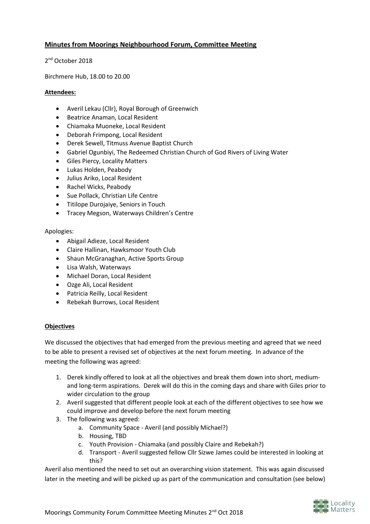# **Minutes from Moorings Neighbourhood Forum, Committee Meeting**

2<sup>nd</sup> October 2018

Birchmere Hub, 18.00 to 20.00

### **Attendees:**

- Averil Lekau (Cllr), Royal Borough of Greenwich
- Beatrice Anaman, Local Resident
- Chiamaka Muoneke, Local Resident
- Deborah Frimpong, Local Resident
- Derek Sewell, Titmuss Avenue Baptist Church
- Gabriel Ogunbiyi, The Redeemed Christian Church of God Rivers of Living Water
- Giles Piercy, Locality Matters
- Lukas Holden, Peabody
- Julius Ariko, Local Resident
- Rachel Wicks, Peabody
- Sue Pollack, Christian Life Centre
- Titilope Durojaiye, Seniors in Touch
- Tracey Megson, Waterways Children's Centre

### Apologies:

- Abigail Adieze, Local Resident
- Claire Hallinan, Hawksmoor Youth Club
- Shaun McGranaghan, Active Sports Group
- Lisa Walsh, Waterways
- Michael Doran, Local Resident
- Ozge Ali, Local Resident
- Patricia Reilly, Local Resident
- Rebekah Burrows, Local Resident

# **Objectives**

We discussed the objectives that had emerged from the previous meeting and agreed that we need to be able to present a revised set of objectives at the next forum meeting. In advance of the meeting the following was agreed:

- 1. Derek kindly offered to look at all the objectives and break them down into short, mediumand long-term aspirations. Derek will do this in the coming days and share with Giles prior to wider circulation to the group
- 2. Averil suggested that different people look at each of the different objectives to see how we could improve and develop before the next forum meeting
- 3. The following was agreed:
	- a. Community Space Averil (and possibly Michael?)
	- b. Housing, TBD
	- c. Youth Provision Chiamaka (and possibly Claire and Rebekah?)
	- d. Transport Averil suggested fellow Cllr Sizwe James could be interested in looking at this?

Averil also mentioned the need to set out an overarching vision statement. This was again discussed later in the meeting and will be picked up as part of the communication and consultation (see below)

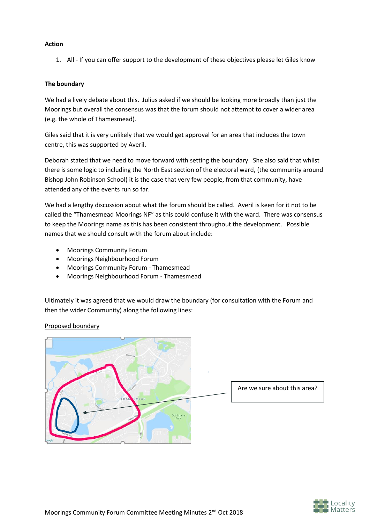## **Action**

1. All - If you can offer support to the development of these objectives please let Giles know

### **The boundary**

We had a lively debate about this. Julius asked if we should be looking more broadly than just the Moorings but overall the consensus was that the forum should not attempt to cover a wider area (e.g. the whole of Thamesmead).

Giles said that it is very unlikely that we would get approval for an area that includes the town centre, this was supported by Averil.

Deborah stated that we need to move forward with setting the boundary. She also said that whilst there is some logic to including the North East section of the electoral ward, (the community around Bishop John Robinson School) it is the case that very few people, from that community, have attended any of the events run so far.

We had a lengthy discussion about what the forum should be called. Averil is keen for it not to be called the "Thamesmead Moorings NF" as this could confuse it with the ward. There was consensus to keep the Moorings name as this has been consistent throughout the development. Possible names that we should consult with the forum about include:

- Moorings Community Forum
- Moorings Neighbourhood Forum
- Moorings Community Forum Thamesmead
- Moorings Neighbourhood Forum Thamesmead

Ultimately it was agreed that we would draw the boundary (for consultation with the Forum and then the wider Community) along the following lines:



# Proposed boundary

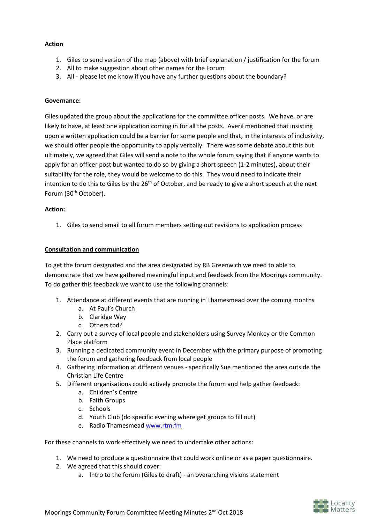## **Action**

- 1. Giles to send version of the map (above) with brief explanation / justification for the forum
- 2. All to make suggestion about other names for the Forum
- 3. All please let me know if you have any further questions about the boundary?

#### **Governance:**

Giles updated the group about the applications for the committee officer posts. We have, or are likely to have, at least one application coming in for all the posts. Averil mentioned that insisting upon a written application could be a barrier for some people and that, in the interests of inclusivity, we should offer people the opportunity to apply verbally. There was some debate about this but ultimately, we agreed that Giles will send a note to the whole forum saying that if anyone wants to apply for an officer post but wanted to do so by giving a short speech (1-2 minutes), about their suitability for the role, they would be welcome to do this. They would need to indicate their intention to do this to Giles by the  $26<sup>th</sup>$  of October, and be ready to give a short speech at the next Forum (30<sup>th</sup> October).

#### **Action:**

1. Giles to send email to all forum members setting out revisions to application process

#### **Consultation and communication**

To get the forum designated and the area designated by RB Greenwich we need to able to demonstrate that we have gathered meaningful input and feedback from the Moorings community. To do gather this feedback we want to use the following channels:

- 1. Attendance at different events that are running in Thamesmead over the coming months
	- a. At Paul's Church
	- b. Claridge Way
	- c. Others tbd?
- 2. Carry out a survey of local people and stakeholders using Survey Monkey or the Common Place platform
- 3. Running a dedicated community event in December with the primary purpose of promoting the forum and gathering feedback from local people
- 4. Gathering information at different venues specifically Sue mentioned the area outside the Christian Life Centre
- 5. Different organisations could actively promote the forum and help gather feedback:
	- a. Children's Centre
	- b. Faith Groups
	- c. Schools
	- d. Youth Club (do specific evening where get groups to fill out)
	- e. Radio Thamesmea[d www.rtm.fm](http://www.rtm.fm/)

For these channels to work effectively we need to undertake other actions:

- 1. We need to produce a questionnaire that could work online or as a paper questionnaire.
- 2. We agreed that this should cover:
	- a. Intro to the forum (Giles to draft) an overarching visions statement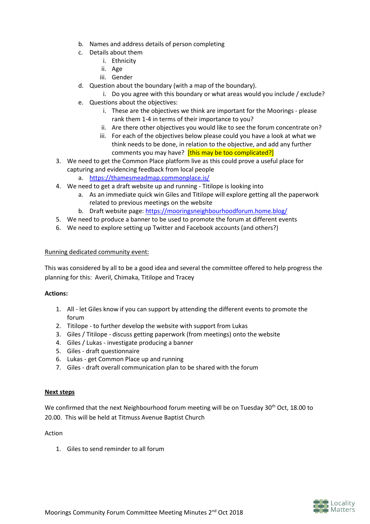- b. Names and address details of person completing
- c. Details about them
	- i. Ethnicity
	- ii. Age
	- iii. Gender
- d. Question about the boundary (with a map of the boundary).
- i. Do you agree with this boundary or what areas would you include / exclude? e. Questions about the objectives:
	- i. These are the objectives we think are important for the Moorings please rank them 1-4 in terms of their importance to you?
	- ii. Are there other objectives you would like to see the forum concentrate on?
	- iii. For each of the objectives below please could you have a look at what we think needs to be done, in relation to the objective, and add any further comments you may have? [this may be too complicated?]
- 3. We need to get the Common Place platform live as this could prove a useful place for capturing and evidencing feedback from local people
	- a. <https://thamesmeadmap.commonplace.is/>
- 4. We need to get a draft website up and running Titilope is looking into
	- a. As an immediate quick win Giles and Titilope will explore getting all the paperwork related to previous meetings on the website
	- b. Draft website page:<https://mooringsneighbourhoodforum.home.blog/>
- 5. We need to produce a banner to be used to promote the forum at different events
- 6. We need to explore setting up Twitter and Facebook accounts (and others?)

# Running dedicated community event:

This was considered by all to be a good idea and several the committee offered to help progress the planning for this: Averil, Chimaka, Titilope and Tracey

# **Actions:**

- 1. All let Giles know if you can support by attending the different events to promote the forum
- 2. Titilope to further develop the website with support from Lukas
- 3. Giles / Titilope discuss getting paperwork (from meetings) onto the website
- 4. Giles / Lukas investigate producing a banner
- 5. Giles draft questionnaire
- 6. Lukas get Common Place up and running
- 7. Giles draft overall communication plan to be shared with the forum

# **Next steps**

We confirmed that the next Neighbourhood forum meeting will be on Tuesday 30<sup>th</sup> Oct, 18.00 to 20.00. This will be held at Titmuss Avenue Baptist Church

# Action

1. Giles to send reminder to all forum